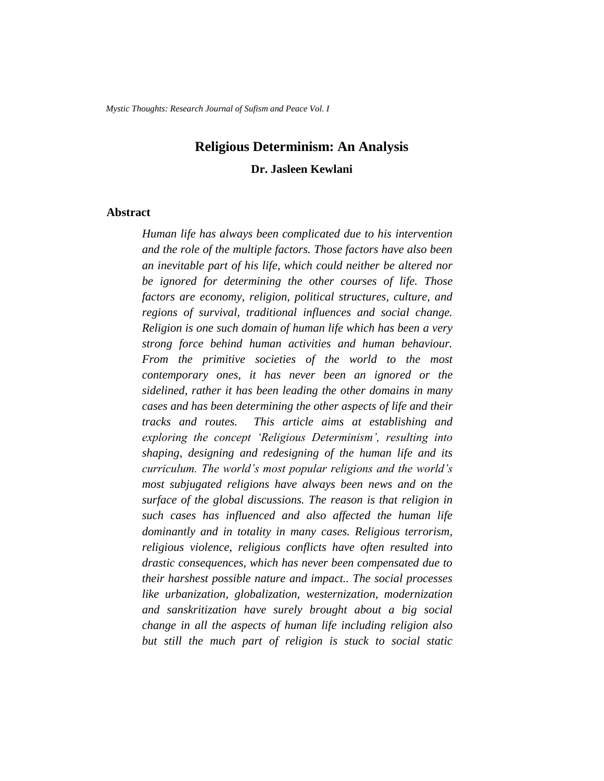*Mystic Thoughts: Research Journal of Sufism and Peace Vol. I*

# **Religious Determinism: An Analysis**

### **Dr. Jasleen Kewlani**

### **Abstract**

*Human life has always been complicated due to his intervention and the role of the multiple factors. Those factors have also been an inevitable part of his life, which could neither be altered nor be ignored for determining the other courses of life. Those factors are economy, religion, political structures, culture, and regions of survival, traditional influences and social change. Religion is one such domain of human life which has been a very strong force behind human activities and human behaviour. From the primitive societies of the world to the most contemporary ones, it has never been an ignored or the sidelined, rather it has been leading the other domains in many cases and has been determining the other aspects of life and their tracks and routes. This article aims at establishing and exploring the concept 'Religious Determinism', resulting into shaping, designing and redesigning of the human life and its curriculum. The world's most popular religions and the world's most subjugated religions have always been news and on the surface of the global discussions. The reason is that religion in such cases has influenced and also affected the human life dominantly and in totality in many cases. Religious terrorism, religious violence, religious conflicts have often resulted into drastic consequences, which has never been compensated due to their harshest possible nature and impact.. The social processes like urbanization, globalization, westernization, modernization and sanskritization have surely brought about a big social change in all the aspects of human life including religion also but still the much part of religion is stuck to social static*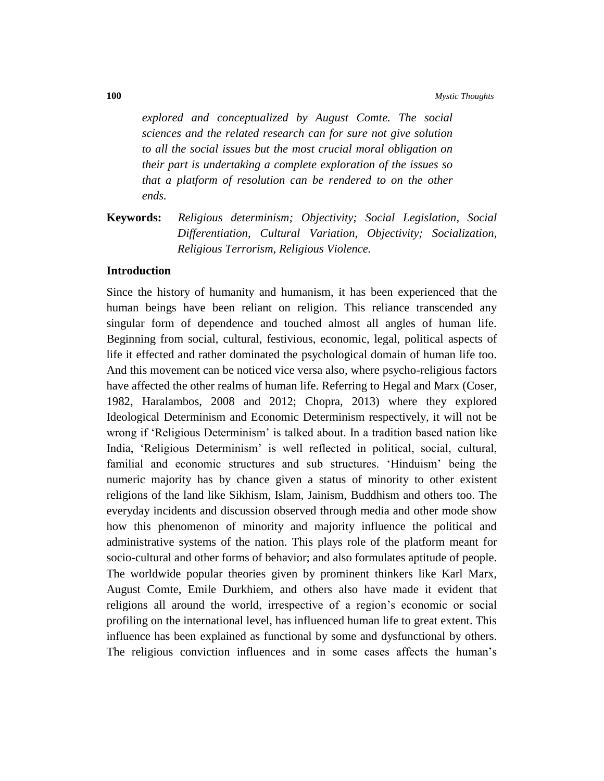*explored and conceptualized by August Comte. The social sciences and the related research can for sure not give solution to all the social issues but the most crucial moral obligation on their part is undertaking a complete exploration of the issues so that a platform of resolution can be rendered to on the other ends.* 

**Keywords:** *Religious determinism; Objectivity; Social Legislation, Social Differentiation, Cultural Variation, Objectivity; Socialization, Religious Terrorism, Religious Violence.*

#### **Introduction**

Since the history of humanity and humanism, it has been experienced that the human beings have been reliant on religion. This reliance transcended any singular form of dependence and touched almost all angles of human life. Beginning from social, cultural, festivious, economic, legal, political aspects of life it effected and rather dominated the psychological domain of human life too. And this movement can be noticed vice versa also, where psycho-religious factors have affected the other realms of human life. Referring to Hegal and Marx (Coser, 1982, Haralambos, 2008 and 2012; Chopra, 2013) where they explored Ideological Determinism and Economic Determinism respectively, it will not be wrong if 'Religious Determinism' is talked about. In a tradition based nation like India, 'Religious Determinism' is well reflected in political, social, cultural, familial and economic structures and sub structures. 'Hinduism' being the numeric majority has by chance given a status of minority to other existent religions of the land like Sikhism, Islam, Jainism, Buddhism and others too. The everyday incidents and discussion observed through media and other mode show how this phenomenon of minority and majority influence the political and administrative systems of the nation. This plays role of the platform meant for socio-cultural and other forms of behavior; and also formulates aptitude of people. The worldwide popular theories given by prominent thinkers like Karl Marx, August Comte, Emile Durkhiem, and others also have made it evident that religions all around the world, irrespective of a region's economic or social profiling on the international level, has influenced human life to great extent. This influence has been explained as functional by some and dysfunctional by others. The religious conviction influences and in some cases affects the human's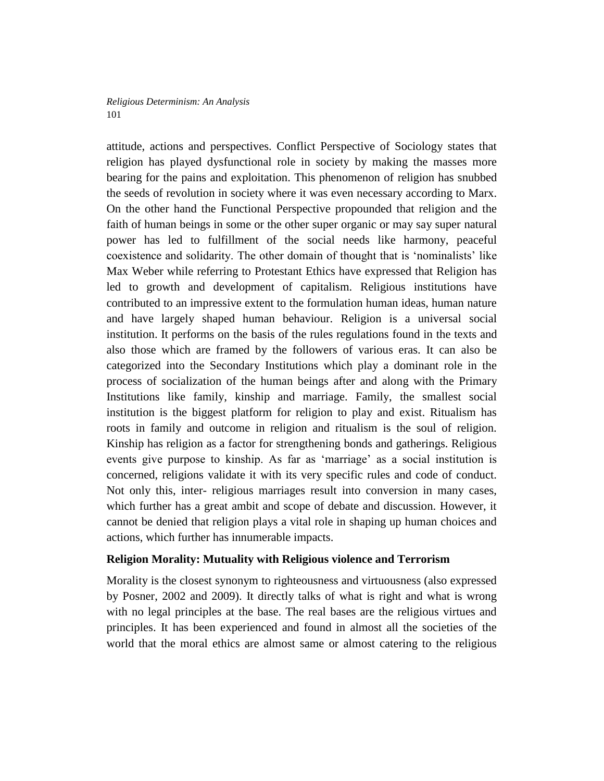attitude, actions and perspectives. Conflict Perspective of Sociology states that religion has played dysfunctional role in society by making the masses more bearing for the pains and exploitation. This phenomenon of religion has snubbed the seeds of revolution in society where it was even necessary according to Marx. On the other hand the Functional Perspective propounded that religion and the faith of human beings in some or the other super organic or may say super natural power has led to fulfillment of the social needs like harmony, peaceful coexistence and solidarity. The other domain of thought that is 'nominalists' like Max Weber while referring to Protestant Ethics have expressed that Religion has led to growth and development of capitalism. Religious institutions have contributed to an impressive extent to the formulation human ideas, human nature and have largely shaped human behaviour. Religion is a universal social institution. It performs on the basis of the rules regulations found in the texts and also those which are framed by the followers of various eras. It can also be categorized into the Secondary Institutions which play a dominant role in the process of socialization of the human beings after and along with the Primary Institutions like family, kinship and marriage. Family, the smallest social institution is the biggest platform for religion to play and exist. Ritualism has roots in family and outcome in religion and ritualism is the soul of religion. Kinship has religion as a factor for strengthening bonds and gatherings. Religious events give purpose to kinship. As far as 'marriage' as a social institution is concerned, religions validate it with its very specific rules and code of conduct. Not only this, inter- religious marriages result into conversion in many cases, which further has a great ambit and scope of debate and discussion. However, it cannot be denied that religion plays a vital role in shaping up human choices and actions, which further has innumerable impacts.

# **Religion Morality: Mutuality with Religious violence and Terrorism**

Morality is the closest synonym to righteousness and virtuousness (also expressed by Posner, 2002 and 2009). It directly talks of what is right and what is wrong with no legal principles at the base. The real bases are the religious virtues and principles. It has been experienced and found in almost all the societies of the world that the moral ethics are almost same or almost catering to the religious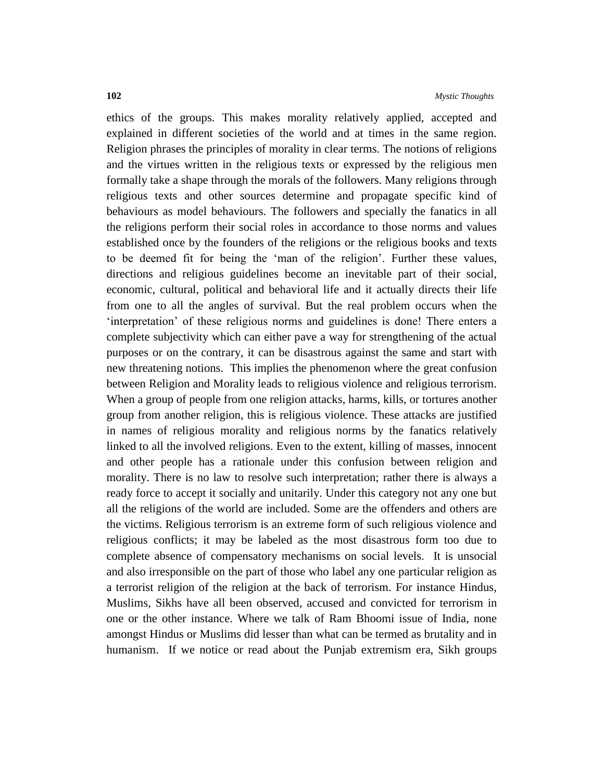ethics of the groups. This makes morality relatively applied, accepted and explained in different societies of the world and at times in the same region. Religion phrases the principles of morality in clear terms. The notions of religions and the virtues written in the religious texts or expressed by the religious men formally take a shape through the morals of the followers. Many religions through religious texts and other sources determine and propagate specific kind of behaviours as model behaviours. The followers and specially the fanatics in all the religions perform their social roles in accordance to those norms and values established once by the founders of the religions or the religious books and texts to be deemed fit for being the 'man of the religion'. Further these values, directions and religious guidelines become an inevitable part of their social, economic, cultural, political and behavioral life and it actually directs their life from one to all the angles of survival. But the real problem occurs when the 'interpretation' of these religious norms and guidelines is done! There enters a complete subjectivity which can either pave a way for strengthening of the actual purposes or on the contrary, it can be disastrous against the same and start with new threatening notions. This implies the phenomenon where the great confusion between Religion and Morality leads to religious violence and religious terrorism. When a group of people from one religion attacks, harms, kills, or tortures another group from another religion, this is religious violence. These attacks are justified in names of religious morality and religious norms by the fanatics relatively linked to all the involved religions. Even to the extent, killing of masses, innocent and other people has a rationale under this confusion between religion and morality. There is no law to resolve such interpretation; rather there is always a ready force to accept it socially and unitarily. Under this category not any one but all the religions of the world are included. Some are the offenders and others are the victims. Religious terrorism is an extreme form of such religious violence and religious conflicts; it may be labeled as the most disastrous form too due to complete absence of compensatory mechanisms on social levels. It is unsocial and also irresponsible on the part of those who label any one particular religion as a terrorist religion of the religion at the back of terrorism. For instance Hindus, Muslims, Sikhs have all been observed, accused and convicted for terrorism in one or the other instance. Where we talk of Ram Bhoomi issue of India, none amongst Hindus or Muslims did lesser than what can be termed as brutality and in humanism. If we notice or read about the Punjab extremism era, Sikh groups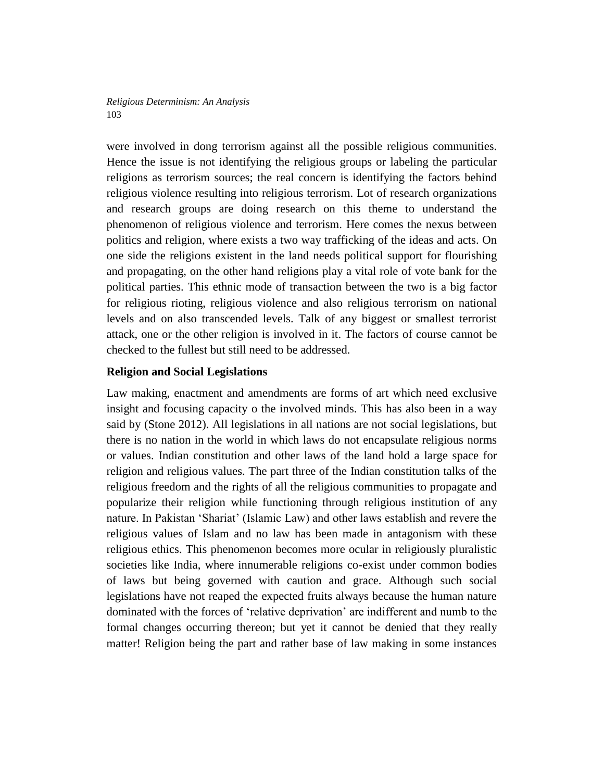were involved in dong terrorism against all the possible religious communities. Hence the issue is not identifying the religious groups or labeling the particular religions as terrorism sources; the real concern is identifying the factors behind religious violence resulting into religious terrorism. Lot of research organizations and research groups are doing research on this theme to understand the phenomenon of religious violence and terrorism. Here comes the nexus between politics and religion, where exists a two way trafficking of the ideas and acts. On one side the religions existent in the land needs political support for flourishing and propagating, on the other hand religions play a vital role of vote bank for the political parties. This ethnic mode of transaction between the two is a big factor for religious rioting, religious violence and also religious terrorism on national levels and on also transcended levels. Talk of any biggest or smallest terrorist attack, one or the other religion is involved in it. The factors of course cannot be checked to the fullest but still need to be addressed.

## **Religion and Social Legislations**

Law making, enactment and amendments are forms of art which need exclusive insight and focusing capacity o the involved minds. This has also been in a way said by (Stone 2012). All legislations in all nations are not social legislations, but there is no nation in the world in which laws do not encapsulate religious norms or values. Indian constitution and other laws of the land hold a large space for religion and religious values. The part three of the Indian constitution talks of the religious freedom and the rights of all the religious communities to propagate and popularize their religion while functioning through religious institution of any nature. In Pakistan 'Shariat' (Islamic Law) and other laws establish and revere the religious values of Islam and no law has been made in antagonism with these religious ethics. This phenomenon becomes more ocular in religiously pluralistic societies like India, where innumerable religions co-exist under common bodies of laws but being governed with caution and grace. Although such social legislations have not reaped the expected fruits always because the human nature dominated with the forces of 'relative deprivation' are indifferent and numb to the formal changes occurring thereon; but yet it cannot be denied that they really matter! Religion being the part and rather base of law making in some instances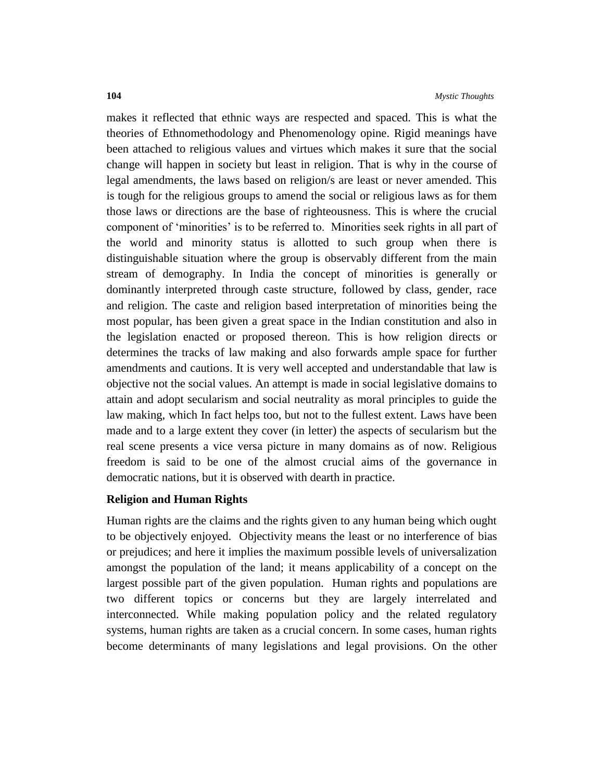makes it reflected that ethnic ways are respected and spaced. This is what the theories of Ethnomethodology and Phenomenology opine. Rigid meanings have been attached to religious values and virtues which makes it sure that the social change will happen in society but least in religion. That is why in the course of legal amendments, the laws based on religion/s are least or never amended. This is tough for the religious groups to amend the social or religious laws as for them those laws or directions are the base of righteousness. This is where the crucial component of 'minorities' is to be referred to. Minorities seek rights in all part of the world and minority status is allotted to such group when there is distinguishable situation where the group is observably different from the main stream of demography. In India the concept of minorities is generally or dominantly interpreted through caste structure, followed by class, gender, race and religion. The caste and religion based interpretation of minorities being the most popular, has been given a great space in the Indian constitution and also in the legislation enacted or proposed thereon. This is how religion directs or determines the tracks of law making and also forwards ample space for further amendments and cautions. It is very well accepted and understandable that law is objective not the social values. An attempt is made in social legislative domains to attain and adopt secularism and social neutrality as moral principles to guide the law making, which In fact helps too, but not to the fullest extent. Laws have been made and to a large extent they cover (in letter) the aspects of secularism but the real scene presents a vice versa picture in many domains as of now. Religious freedom is said to be one of the almost crucial aims of the governance in democratic nations, but it is observed with dearth in practice.

### **Religion and Human Rights**

Human rights are the claims and the rights given to any human being which ought to be objectively enjoyed. Objectivity means the least or no interference of bias or prejudices; and here it implies the maximum possible levels of universalization amongst the population of the land; it means applicability of a concept on the largest possible part of the given population. Human rights and populations are two different topics or concerns but they are largely interrelated and interconnected. While making population policy and the related regulatory systems, human rights are taken as a crucial concern. In some cases, human rights become determinants of many legislations and legal provisions. On the other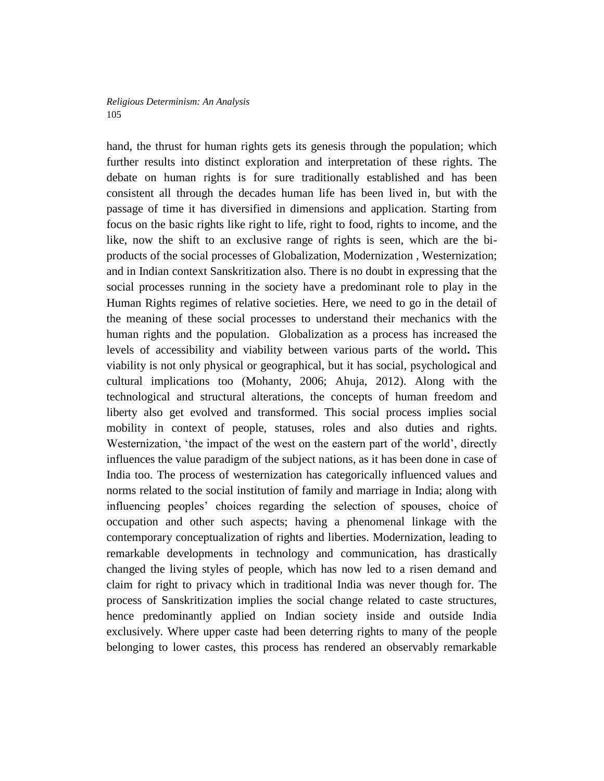hand, the thrust for human rights gets its genesis through the population; which further results into distinct exploration and interpretation of these rights. The debate on human rights is for sure traditionally established and has been consistent all through the decades human life has been lived in, but with the passage of time it has diversified in dimensions and application. Starting from focus on the basic rights like right to life, right to food, rights to income, and the like, now the shift to an exclusive range of rights is seen, which are the biproducts of the social processes of Globalization, Modernization , Westernization; and in Indian context Sanskritization also. There is no doubt in expressing that the social processes running in the society have a predominant role to play in the Human Rights regimes of relative societies. Here, we need to go in the detail of the meaning of these social processes to understand their mechanics with the human rights and the population. Globalization as a process has increased the levels of accessibility and viability between various parts of the world**.** This viability is not only physical or geographical, but it has social, psychological and cultural implications too (Mohanty, 2006; Ahuja, 2012). Along with the technological and structural alterations, the concepts of human freedom and liberty also get evolved and transformed. This social process implies social mobility in context of people, statuses, roles and also duties and rights. Westernization, 'the impact of the west on the eastern part of the world', directly influences the value paradigm of the subject nations, as it has been done in case of India too. The process of westernization has categorically influenced values and norms related to the social institution of family and marriage in India; along with influencing peoples' choices regarding the selection of spouses, choice of occupation and other such aspects; having a phenomenal linkage with the contemporary conceptualization of rights and liberties. Modernization, leading to remarkable developments in technology and communication, has drastically changed the living styles of people, which has now led to a risen demand and claim for right to privacy which in traditional India was never though for. The process of Sanskritization implies the social change related to caste structures, hence predominantly applied on Indian society inside and outside India exclusively. Where upper caste had been deterring rights to many of the people belonging to lower castes, this process has rendered an observably remarkable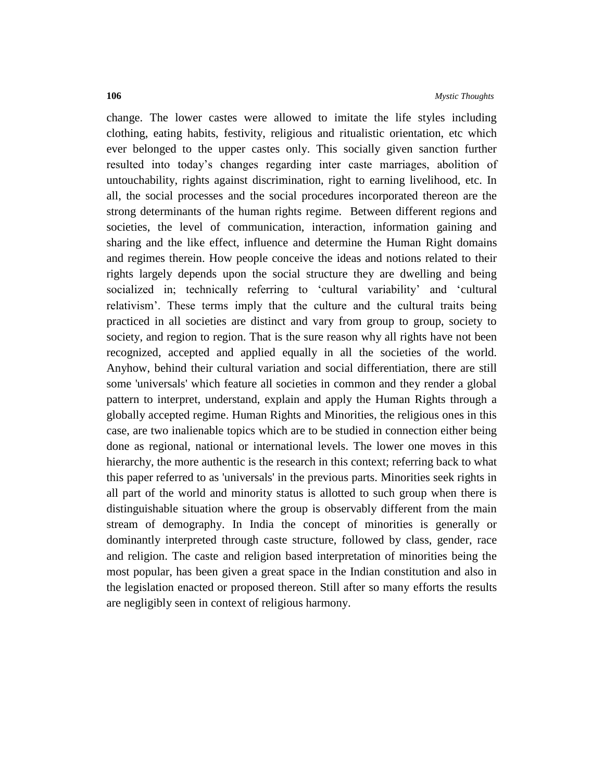change. The lower castes were allowed to imitate the life styles including clothing, eating habits, festivity, religious and ritualistic orientation, etc which ever belonged to the upper castes only. This socially given sanction further resulted into today's changes regarding inter caste marriages, abolition of untouchability, rights against discrimination, right to earning livelihood, etc. In all, the social processes and the social procedures incorporated thereon are the strong determinants of the human rights regime. Between different regions and societies, the level of communication, interaction, information gaining and sharing and the like effect, influence and determine the Human Right domains and regimes therein. How people conceive the ideas and notions related to their rights largely depends upon the social structure they are dwelling and being socialized in; technically referring to 'cultural variability' and 'cultural relativism'. These terms imply that the culture and the cultural traits being practiced in all societies are distinct and vary from group to group, society to society, and region to region. That is the sure reason why all rights have not been recognized, accepted and applied equally in all the societies of the world. Anyhow, behind their cultural variation and social differentiation, there are still some 'universals' which feature all societies in common and they render a global pattern to interpret, understand, explain and apply the Human Rights through a globally accepted regime. Human Rights and Minorities, the religious ones in this case, are two inalienable topics which are to be studied in connection either being done as regional, national or international levels. The lower one moves in this hierarchy, the more authentic is the research in this context; referring back to what this paper referred to as 'universals' in the previous parts. Minorities seek rights in all part of the world and minority status is allotted to such group when there is distinguishable situation where the group is observably different from the main stream of demography. In India the concept of minorities is generally or dominantly interpreted through caste structure, followed by class, gender, race and religion. The caste and religion based interpretation of minorities being the most popular, has been given a great space in the Indian constitution and also in the legislation enacted or proposed thereon. Still after so many efforts the results are negligibly seen in context of religious harmony.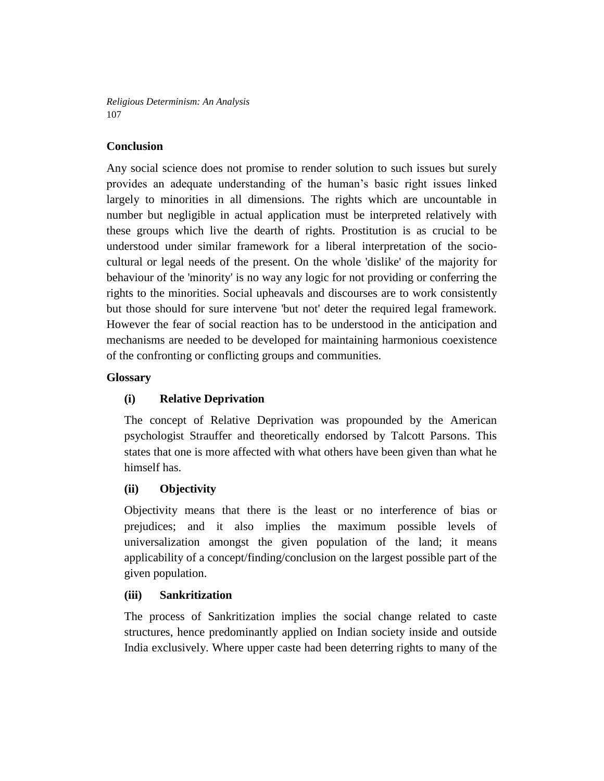# **Conclusion**

Any social science does not promise to render solution to such issues but surely provides an adequate understanding of the human's basic right issues linked largely to minorities in all dimensions. The rights which are uncountable in number but negligible in actual application must be interpreted relatively with these groups which live the dearth of rights. Prostitution is as crucial to be understood under similar framework for a liberal interpretation of the sociocultural or legal needs of the present. On the whole 'dislike' of the majority for behaviour of the 'minority' is no way any logic for not providing or conferring the rights to the minorities. Social upheavals and discourses are to work consistently but those should for sure intervene 'but not' deter the required legal framework. However the fear of social reaction has to be understood in the anticipation and mechanisms are needed to be developed for maintaining harmonious coexistence of the confronting or conflicting groups and communities.

# **Glossary**

# **(i) Relative Deprivation**

The concept of Relative Deprivation was propounded by the American psychologist Strauffer and theoretically endorsed by Talcott Parsons. This states that one is more affected with what others have been given than what he himself has.

# **(ii) Objectivity**

Objectivity means that there is the least or no interference of bias or prejudices; and it also implies the maximum possible levels of universalization amongst the given population of the land; it means applicability of a concept/finding/conclusion on the largest possible part of the given population.

# **(iii) Sankritization**

The process of Sankritization implies the social change related to caste structures, hence predominantly applied on Indian society inside and outside India exclusively. Where upper caste had been deterring rights to many of the